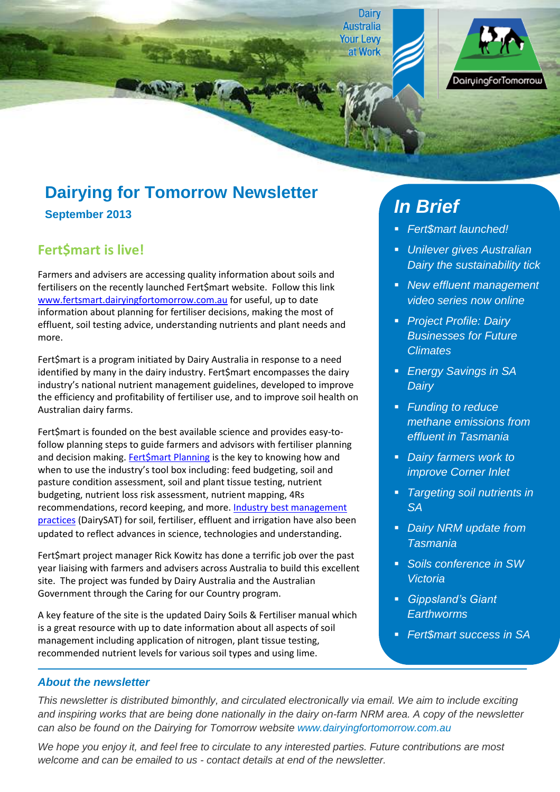Dairy **Australia Your Levy** at Work DairuingforTomorrow

# **Dairying for Tomorrow Newsletter**

**September 2013**

# **Fert\$mart is live!**

Farmers and advisers are accessing quality information about soils and fertilisers on the recently launched Fert\$mart website. Follow this link [www.fertsmart.dairyingfortomorrow.com.au](http://www.fertsmart.dairyingfortomorrow.com.au/) for useful, up to date information about planning for fertiliser decisions, making the most of effluent, soil testing advice, understanding nutrients and plant needs and more.

Fert\$mart is a program initiated by Dairy Australia in response to a need identified by many in the dairy industry. Fert\$mart encompasses the dairy industry's national nutrient management guidelines, developed to improve the efficiency and profitability of fertiliser use, and to improve soil health on Australian dairy farms.

Fert\$mart is founded on the best available science and provides easy-tofollow planning steps to guide farmers and advisors with fertiliser planning and decision making[. Fert\\$mart Planning](http://fertsmart.dairyingfortomorrow.com.au/dairy-soils-and-fertiliser-manual/chapter-1-fertmart-planning/) is the key to knowing how and when to use the industry's tool box including: feed budgeting, soil and pasture condition assessment, soil and plant tissue testing, nutrient budgeting, nutrient loss risk assessment, nutrient mapping, 4Rs recommendations, record keeping, and more. Industry best management [practices](http://fertsmart.dairyingfortomorrow.com.au/getting-it-right/best-management-practices/) (DairySAT) for soil, fertiliser, effluent and irrigation have also been updated to reflect advances in science, technologies and understanding.

Fert\$mart project manager Rick Kowitz has done a terrific job over the past year liaising with farmers and advisers across Australia to build this excellent site. The project was funded by Dairy Australia and the Australian Government through the Caring for our Country program.

A key feature of the site is the updated Dairy Soils & Fertiliser manual which is a great resource with up to date information about all aspects of soil management including application of nitrogen, plant tissue testing, recommended nutrient levels for various soil types and using lime.

# *In Brief*

- *Fert\$mart launched!*
- *Unilever gives Australian Dairy the sustainability tick*
- *New effluent management video series now online*
- *Project Profile: Dairy Businesses for Future Climates*
- *Energy Savings in SA Dairy*
- *Funding to reduce methane emissions from effluent in Tasmania*
- *Dairy farmers work to improve Corner Inlet*
- *Targeting soil nutrients in SA*
- *Dairy NRM update from Tasmania*
- *Soils conference in SW Victoria*
- *Gippsland's Giant Earthworms*
- *Fert\$mart success in SA*

#### *About the newsletter*

*This newsletter is distributed bimonthly, and circulated electronically via email. We aim to include exciting and inspiring works that are being done nationally in the dairy on-farm NRM area. A copy of the newsletter can also be found on the Dairying for Tomorrow website [www.dairyingfortomorrow.com.au](http://www.dairyingfortomorrow.com.au/)* 

*We hope you enjoy it, and feel free to circulate to any interested parties. Future contributions are most welcome and can be emailed to us - contact details at end of the newsletter.*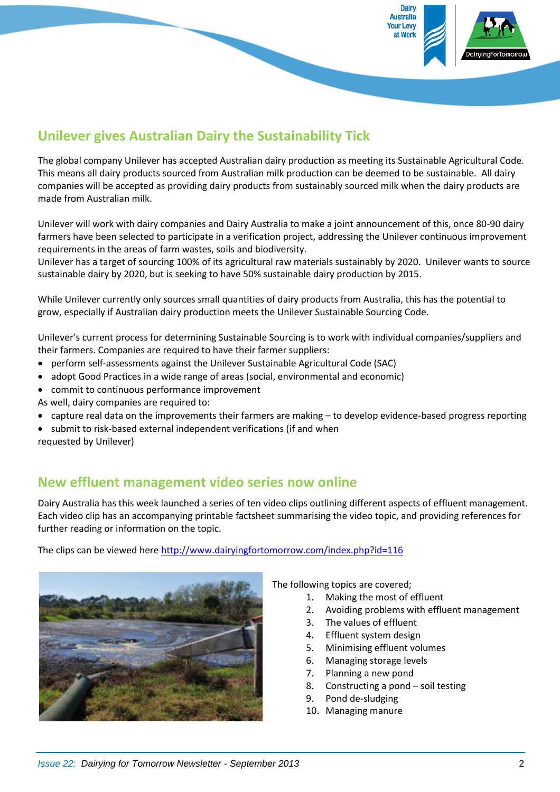

# **Unilever gives Australian Dairy the Sustainability Tick**

The global company Unilever has accepted Australian dairy production as meeting its Sustainable Agricultural Code. This means all dairy products sourced from Australian milk production can be deemed to be sustainable. All dairy companies will be accepted as providing dairy products from sustainably sourced milk when the dairy products are made from Australian milk.

Unilever will work with dairy companies and Dairy Australia to make a joint announcement of this, once 80-90 dairy farmers have been selected to participate in a verification project, addressing the Unilever continuous improvement requirements in the areas of farm wastes, soils and biodiversity.

Unilever has a target of sourcing 100% of its agricultural raw materials sustainably by 2020. Unilever wants to source sustainable dairy by 2020, but is seeking to have 50% sustainable dairy production by 2015.

While Unilever currently only sources small quantities of dairy products from Australia, this has the potential to grow, especially if Australian dairy production meets the Unilever Sustainable Sourcing Code.

Unilever's current process for determining Sustainable Sourcing is to work with individual companies/suppliers and their farmers. Companies are required to have their farmer suppliers:

- perform self-assessments against the Unilever Sustainable Agricultural Code (SAC)
- adopt Good Practices in a wide range of areas (social, environmental and economic)
- commit to continuous performance improvement

As well, dairy companies are required to:

- capture real data on the improvements their farmers are making to develop evidence-based progress reporting
- submit to risk-based external independent verifications (if and when

requested by Unilever)

### **New effluent management video series now online**

Dairy Australia has this week launched a series of ten video clips outlining different aspects of effluent management. Each video clip has an accompanying printable factsheet summarising the video topic, and providing references for further reading or information on the topic.

The clips can be viewed here <http://www.dairyingfortomorrow.com/index.php?id=116>



The following topics are covered;

- 1. Making the most of effluent
- 2. Avoiding problems with effluent management
- 3. The values of effluent
- 4. Effluent system design
- 5. Minimising effluent volumes
- 6. Managing storage levels
- 7. Planning a new pond
- 8. Constructing a pond soil testing
- 9. Pond de-sludging
- 10. Managing manure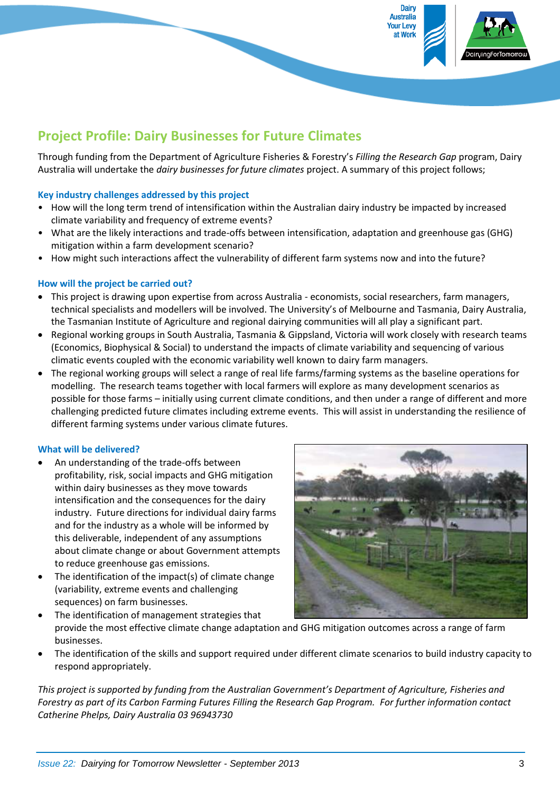

# **Project Profile: Dairy Businesses for Future Climates**

Through funding from the Department of Agriculture Fisheries & Forestry's *Filling the Research Gap* program, Dairy Australia will undertake the *dairy businesses for future climates* project. A summary of this project follows;

#### **Key industry challenges addressed by this project**

- How will the long term trend of intensification within the Australian dairy industry be impacted by increased climate variability and frequency of extreme events?
- What are the likely interactions and trade-offs between intensification, adaptation and greenhouse gas (GHG) mitigation within a farm development scenario?
- How might such interactions affect the vulnerability of different farm systems now and into the future?

#### **How will the project be carried out?**

- This project is drawing upon expertise from across Australia economists, social researchers, farm managers, technical specialists and modellers will be involved. The University's of Melbourne and Tasmania, Dairy Australia, the Tasmanian Institute of Agriculture and regional dairying communities will all play a significant part.
- Regional working groups in South Australia, Tasmania & Gippsland, Victoria will work closely with research teams (Economics, Biophysical & Social) to understand the impacts of climate variability and sequencing of various climatic events coupled with the economic variability well known to dairy farm managers.
- The regional working groups will select a range of real life farms/farming systems as the baseline operations for modelling. The research teams together with local farmers will explore as many development scenarios as possible for those farms – initially using current climate conditions, and then under a range of different and more challenging predicted future climates including extreme events. This will assist in understanding the resilience of different farming systems under various climate futures.

#### **What will be delivered?**

- An understanding of the trade-offs between profitability, risk, social impacts and GHG mitigation within dairy businesses as they move towards intensification and the consequences for the dairy industry. Future directions for individual dairy farms and for the industry as a whole will be informed by this deliverable, independent of any assumptions about climate change or about Government attempts to reduce greenhouse gas emissions.
- The identification of the impact(s) of climate change (variability, extreme events and challenging sequences) on farm businesses.



- The identification of management strategies that provide the most effective climate change adaptation and GHG mitigation outcomes across a range of farm businesses.
- The identification of the skills and support required under different climate scenarios to build industry capacity to respond appropriately.

*This project is supported by funding from the Australian Government's Department of Agriculture, Fisheries and Forestry as part of its Carbon Farming Futures Filling the Research Gap Program. For further information contact Catherine Phelps, Dairy Australia 03 96943730*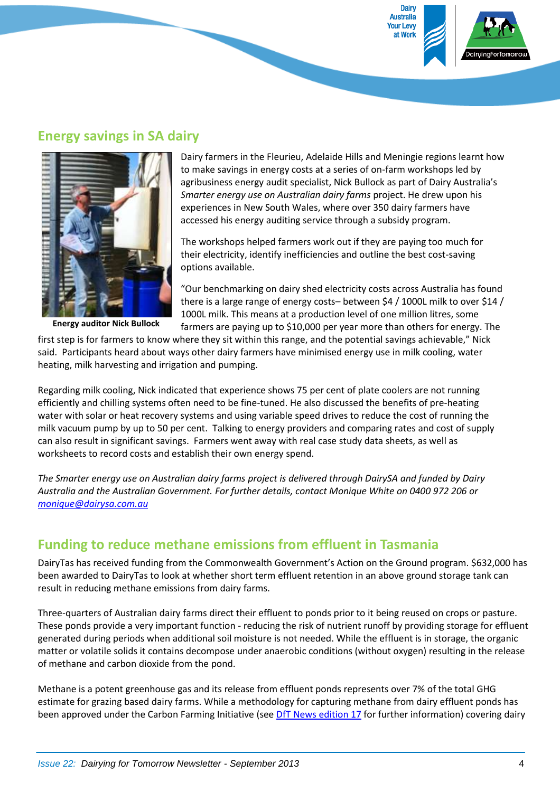

### **Energy savings in SA dairy**



**Energy auditor Nick Bullock**

Dairy farmers in the Fleurieu, Adelaide Hills and Meningie regions learnt how to make savings in energy costs at a series of on-farm workshops led by agribusiness energy audit specialist, Nick Bullock as part of Dairy Australia's *Smarter energy use on Australian dairy farms* project. He drew upon his experiences in New South Wales, where over 350 dairy farmers have accessed his energy auditing service through a subsidy program.

The workshops helped farmers work out if they are paying too much for their electricity, identify inefficiencies and outline the best cost-saving options available.

"Our benchmarking on dairy shed electricity costs across Australia has found there is a large range of energy costs– between \$4 / 1000L milk to over \$14 / 1000L milk. This means at a production level of one million litres, some farmers are paying up to \$10,000 per year more than others for energy. The

first step is for farmers to know where they sit within this range, and the potential savings achievable," Nick said. Participants heard about ways other dairy farmers have minimised energy use in milk cooling, water heating, milk harvesting and irrigation and pumping.

Regarding milk cooling, Nick indicated that experience shows 75 per cent of plate coolers are not running efficiently and chilling systems often need to be fine-tuned. He also discussed the benefits of pre-heating water with solar or heat recovery systems and using variable speed drives to reduce the cost of running the milk vacuum pump by up to 50 per cent. Talking to energy providers and comparing rates and cost of supply can also result in significant savings. Farmers went away with real case study data sheets, as well as worksheets to record costs and establish their own energy spend.

*The Smarter energy use on Australian dairy farms project is delivered through DairySA and funded by Dairy Australia and the Australian Government. For further details, contact Monique White on 0400 972 206 or [monique@dairysa.com.au](javascript:_e(%7b%7d,%20)*

## **Funding to reduce methane emissions from effluent in Tasmania**

DairyTas has received funding from the Commonwealth Government's Action on the Ground program. \$632,000 has been awarded to DairyTas to look at whether short term effluent retention in an above ground storage tank can result in reducing methane emissions from dairy farms.

Three-quarters of Australian dairy farms direct their effluent to ponds prior to it being reused on crops or pasture. These ponds provide a very important function - reducing the risk of nutrient runoff by providing storage for effluent generated during periods when additional soil moisture is not needed. While the effluent is in storage, the organic matter or volatile solids it contains decompose under anaerobic conditions (without oxygen) resulting in the release of methane and carbon dioxide from the pond.

Methane is a potent greenhouse gas and its release from effluent ponds represents over 7% of the total GHG estimate for grazing based dairy farms. While a methodology for capturing methane from dairy effluent ponds has been approved under the Carbon Farming Initiative (see DfT [News edition 17](http://www.dairyingfortomorrow.com/uploads/documents/DfT%20Newsletter%20June%202012%20%20Issue17.pdf) for further information) covering dairy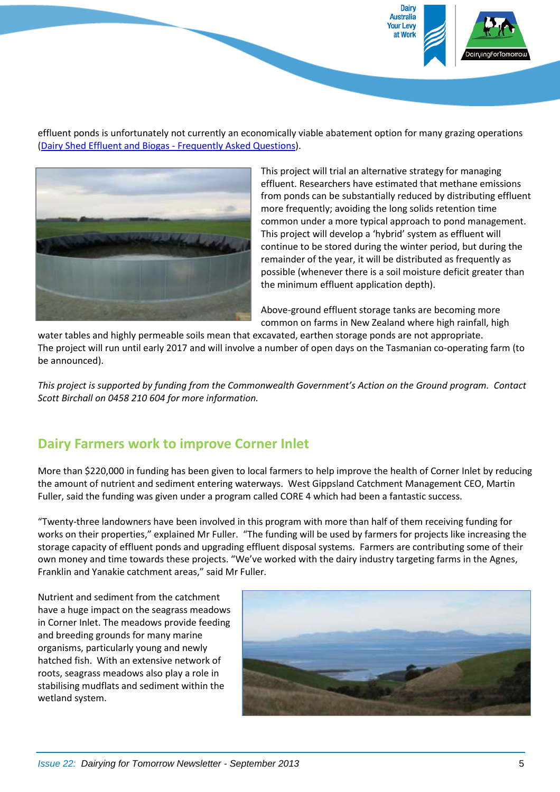

effluent ponds is unfortunately not currently an economically viable abatement option for many grazing operations [\(Dairy Shed Effluent and Biogas -](http://www.dairyingfortomorrow.com/uploads/documents/Dairy%20Shed%20Effluent%20and%20Biogas_1.pdf) Frequently Asked Questions).



This project will trial an alternative strategy for managing effluent. Researchers have estimated that methane emissions from ponds can be substantially reduced by distributing effluent more frequently; avoiding the long solids retention time common under a more typical approach to pond management. This project will develop a 'hybrid' system as effluent will continue to be stored during the winter period, but during the remainder of the year, it will be distributed as frequently as possible (whenever there is a soil moisture deficit greater than the minimum effluent application depth).

Above-ground effluent storage tanks are becoming more common on farms in New Zealand where high rainfall, high

water tables and highly permeable soils mean that excavated, earthen storage ponds are not appropriate. The project will run until early 2017 and will involve a number of open days on the Tasmanian co-operating farm (to be announced).

*This project is supported by funding from the Commonwealth Government's Action on the Ground program. Contact Scott Birchall on 0458 210 604 for more information.*

## **Dairy Farmers work to improve Corner Inlet**

More than \$220,000 in funding has been given to local farmers to help improve the health of Corner Inlet by reducing the amount of nutrient and sediment entering waterways. West Gippsland Catchment Management CEO, Martin Fuller, said the funding was given under a program called CORE 4 which had been a fantastic success.

"Twenty-three landowners have been involved in this program with more than half of them receiving funding for works on their properties," explained Mr Fuller. "The funding will be used by farmers for projects like increasing the storage capacity of effluent ponds and upgrading effluent disposal systems. Farmers are contributing some of their own money and time towards these projects. "We've worked with the dairy industry targeting farms in the Agnes, Franklin and Yanakie catchment areas," said Mr Fuller.

Nutrient and sediment from the catchment have a huge impact on the seagrass meadows in Corner Inlet. The meadows provide feeding and breeding grounds for many marine organisms, particularly young and newly hatched fish. With an extensive network of roots, seagrass meadows also play a role in stabilising mudflats and sediment within the wetland system.

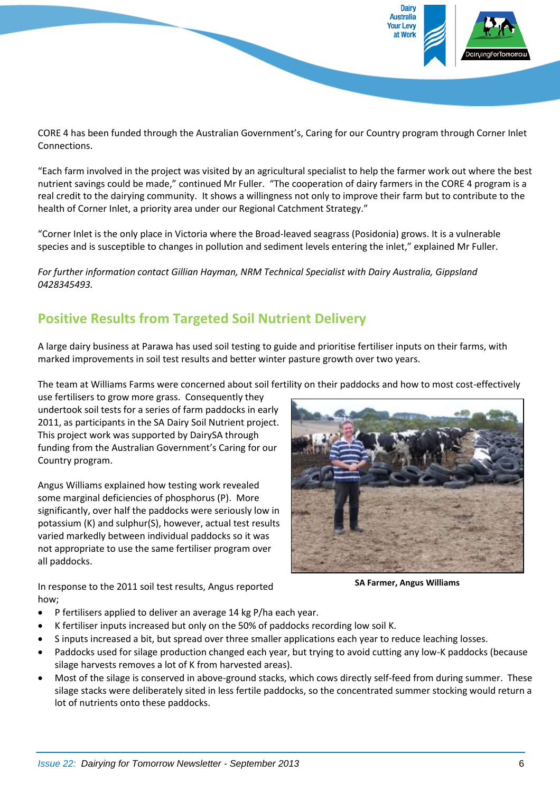

CORE 4 has been funded through the Australian Government's, Caring for our Country program through Corner Inlet Connections.

"Each farm involved in the project was visited by an agricultural specialist to help the farmer work out where the best nutrient savings could be made," continued Mr Fuller. "The cooperation of dairy farmers in the CORE 4 program is a real credit to the dairying community. It shows a willingness not only to improve their farm but to contribute to the health of Corner Inlet, a priority area under our Regional Catchment Strategy."

"Corner Inlet is the only place in Victoria where the Broad-leaved seagrass (Posidonia) grows. It is a vulnerable species and is susceptible to changes in pollution and sediment levels entering the inlet," explained Mr Fuller.

*For further information contact Gillian Hayman, NRM Technical Specialist with Dairy Australia, Gippsland 0428345493.*

# **Positive Results from Targeted Soil Nutrient Delivery**

A large dairy business at Parawa has used soil testing to guide and prioritise fertiliser inputs on their farms, with marked improvements in soil test results and better winter pasture growth over two years.

The team at Williams Farms were concerned about soil fertility on their paddocks and how to most cost-effectively

use fertilisers to grow more grass. Consequently they undertook soil tests for a series of farm paddocks in early 2011, as participants in the SA Dairy Soil Nutrient project. This project work was supported by DairySA through funding from the Australian Government's Caring for our Country program.

Angus Williams explained how testing work revealed some marginal deficiencies of phosphorus (P). More significantly, over half the paddocks were seriously low in potassium (K) and sulphur(S), however, actual test results varied markedly between individual paddocks so it was not appropriate to use the same fertiliser program over all paddocks.

**SA Farmer, Angus Williams** 

In response to the 2011 soil test results, Angus reported how;

- P fertilisers applied to deliver an average 14 kg P/ha each year.
- K fertiliser inputs increased but only on the 50% of paddocks recording low soil K.
- S inputs increased a bit, but spread over three smaller applications each year to reduce leaching losses.
- Paddocks used for silage production changed each year, but trying to avoid cutting any low-K paddocks (because silage harvests removes a lot of K from harvested areas).
- Most of the silage is conserved in above-ground stacks, which cows directly self-feed from during summer. These silage stacks were deliberately sited in less fertile paddocks, so the concentrated summer stocking would return a lot of nutrients onto these paddocks.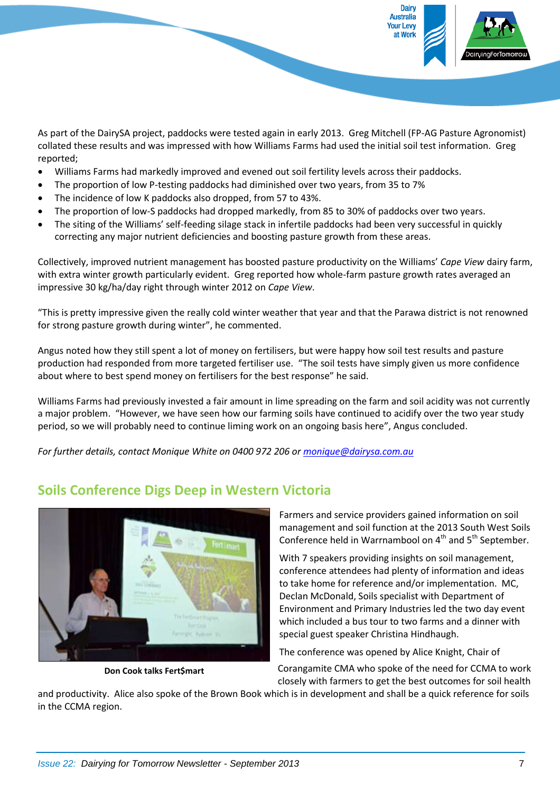

As part of the DairySA project, paddocks were tested again in early 2013. Greg Mitchell (FP-AG Pasture Agronomist) collated these results and was impressed with how Williams Farms had used the initial soil test information. Greg reported;

- Williams Farms had markedly improved and evened out soil fertility levels across their paddocks.
- The proportion of low P-testing paddocks had diminished over two years, from 35 to 7%
- The incidence of low K paddocks also dropped, from 57 to 43%.
- The proportion of low-S paddocks had dropped markedly, from 85 to 30% of paddocks over two years.
- The siting of the Williams' self-feeding silage stack in infertile paddocks had been very successful in quickly correcting any major nutrient deficiencies and boosting pasture growth from these areas.

Collectively, improved nutrient management has boosted pasture productivity on the Williams' *Cape View* dairy farm, with extra winter growth particularly evident. Greg reported how whole-farm pasture growth rates averaged an impressive 30 kg/ha/day right through winter 2012 on *Cape View*.

"This is pretty impressive given the really cold winter weather that year and that the Parawa district is not renowned for strong pasture growth during winter", he commented.

Angus noted how they still spent a lot of money on fertilisers, but were happy how soil test results and pasture production had responded from more targeted fertiliser use. "The soil tests have simply given us more confidence about where to best spend money on fertilisers for the best response" he said.

Williams Farms had previously invested a fair amount in lime spreading on the farm and soil acidity was not currently a major problem. "However, we have seen how our farming soils have continued to acidify over the two year study period, so we will probably need to continue liming work on an ongoing basis here", Angus concluded.

*For further details, contact Monique White on 0400 972 206 or [monique@dairysa.com.au](javascript:_e(%7b%7d,%20)*



**Soils Conference Digs Deep in Western Victoria**

**Don Cook talks Fert\$mart**

Farmers and service providers gained information on soil management and soil function at the 2013 South West Soils Conference held in Warrnambool on  $4<sup>th</sup>$  and  $5<sup>th</sup>$  September.

With 7 speakers providing insights on soil management, conference attendees had plenty of information and ideas to take home for reference and/or implementation. MC, Declan McDonald, Soils specialist with Department of Environment and Primary Industries led the two day event which included a bus tour to two farms and a dinner with special guest speaker Christina Hindhaugh.

The conference was opened by Alice Knight, Chair of

Corangamite CMA who spoke of the need for CCMA to work closely with farmers to get the best outcomes for soil health

and productivity. Alice also spoke of the Brown Book which is in development and shall be a quick reference for soils in the CCMA region.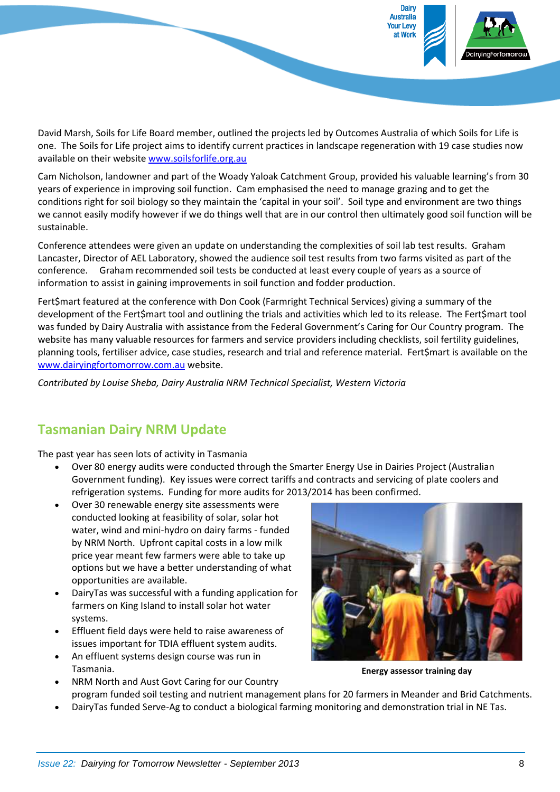

David Marsh, Soils for Life Board member, outlined the projects led by Outcomes Australia of which Soils for Life is one. The Soils for Life project aims to identify current practices in landscape regeneration with 19 case studies now available on their website [www.soilsforlife.org.au](http://www.soilsforlife.org.au/)

Cam Nicholson, landowner and part of the Woady Yaloak Catchment Group, provided his valuable learning's from 30 years of experience in improving soil function. Cam emphasised the need to manage grazing and to get the conditions right for soil biology so they maintain the 'capital in your soil'. Soil type and environment are two things we cannot easily modify however if we do things well that are in our control then ultimately good soil function will be sustainable.

Conference attendees were given an update on understanding the complexities of soil lab test results. Graham Lancaster, Director of AEL Laboratory, showed the audience soil test results from two farms visited as part of the conference. Graham recommended soil tests be conducted at least every couple of years as a source of information to assist in gaining improvements in soil function and fodder production.

Fert\$mart featured at the conference with Don Cook (Farmright Technical Services) giving a summary of the development of the Fert\$mart tool and outlining the trials and activities which led to its release. The Fert\$mart tool was funded by Dairy Australia with assistance from the Federal Government's Caring for Our Country program. The website has many valuable resources for farmers and service providers including checklists, soil fertility guidelines, planning tools, fertiliser advice, case studies, research and trial and reference material. Fert\$mart is available on the [www.dairyingfortomorrow.com.au](http://www.dairyingfortomorrow.com.au/) website.

*Contributed by Louise Sheba, Dairy Australia NRM Technical Specialist, Western Victoria*

### **Tasmanian Dairy NRM Update**

The past year has seen lots of activity in Tasmania

- Over 80 energy audits were conducted through the Smarter Energy Use in Dairies Project (Australian Government funding). Key issues were correct tariffs and contracts and servicing of plate coolers and refrigeration systems. Funding for more audits for 2013/2014 has been confirmed.
- Over 30 renewable energy site assessments were conducted looking at feasibility of solar, solar hot water, wind and mini-hydro on dairy farms - funded by NRM North. Upfront capital costs in a low milk price year meant few farmers were able to take up options but we have a better understanding of what opportunities are available.
- DairyTas was successful with a funding application for farmers on King Island to install solar hot water systems.
- Effluent field days were held to raise awareness of issues important for TDIA effluent system audits.
- An effluent systems design course was run in Tasmania.
- NRM North and Aust Govt Caring for our Country



**Energy assessor training day** 

- program funded soil testing and nutrient management plans for 20 farmers in Meander and Brid Catchments.
- DairyTas funded Serve-Ag to conduct a biological farming monitoring and demonstration trial in NE Tas.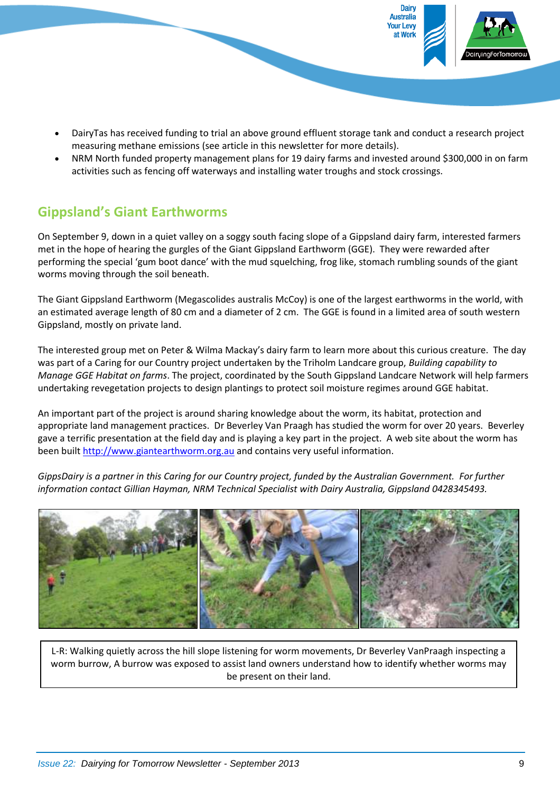

- DairyTas has received funding to trial an above ground effluent storage tank and conduct a research project measuring methane emissions (see article in this newsletter for more details).
- NRM North funded property management plans for 19 dairy farms and invested around \$300,000 in on farm activities such as fencing off waterways and installing water troughs and stock crossings.

# **Gippsland's Giant Earthworms**

On September 9, down in a quiet valley on a soggy south facing slope of a Gippsland dairy farm, interested farmers met in the hope of hearing the gurgles of the Giant Gippsland Earthworm (GGE). They were rewarded after performing the special 'gum boot dance' with the mud squelching, frog like, stomach rumbling sounds of the giant worms moving through the soil beneath.

The Giant Gippsland Earthworm (Megascolides australis McCoy) is one of the largest earthworms in the world, with an estimated average length of 80 cm and a diameter of 2 cm. The GGE is found in a limited area of south western Gippsland, mostly on private land.

The interested group met on Peter & Wilma Mackay's dairy farm to learn more about this curious creature. The day was part of a Caring for our Country project undertaken by the Triholm Landcare group, *Building capability to Manage GGE Habitat on farms*. The project, coordinated by the South Gippsland Landcare Network will help farmers undertaking revegetation projects to design plantings to protect soil moisture regimes around GGE habitat.

An important part of the project is around sharing knowledge about the worm, its habitat, protection and appropriate land management practices. Dr Beverley Van Praagh has studied the worm for over 20 years. Beverley gave a terrific presentation at the field day and is playing a key part in the project. A web site about the worm has been built [http://www.giantearthworm.org.au](http://www.giantearthworm.org.au/) and contains very useful information.

*GippsDairy is a partner in this Caring for our Country project, funded by the Australian Government. For further information contact Gillian Hayman, NRM Technical Specialist with Dairy Australia, Gippsland 0428345493.*



L-R: Walking quietly across the hill slope listening for worm movements, Dr Beverley VanPraagh inspecting a worm burrow, A burrow was exposed to assist land owners understand how to identify whether worms may be present on their land.